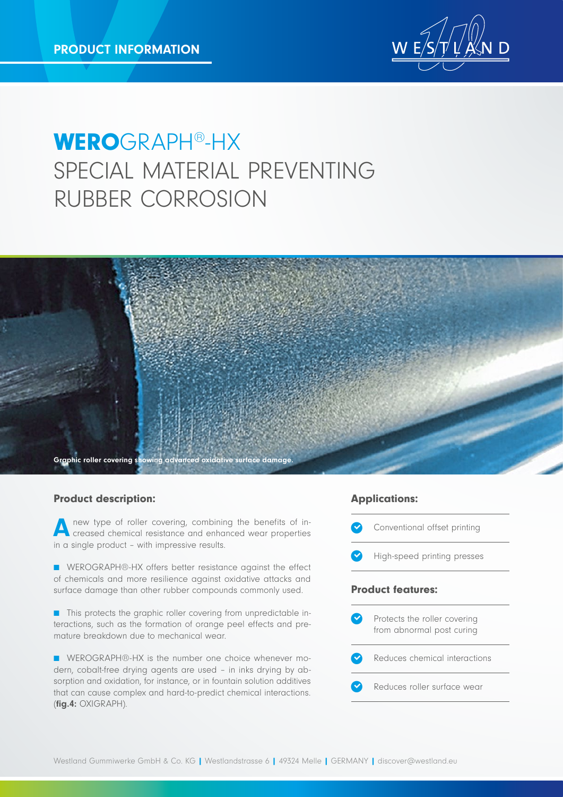

# WEROGRAPH®-HX SPECIAL MATERIAL PREVENTING RUBBER CORROSION



#### Product description:

new type of roller covering, combining the benefits of increased chemical resistance and enhanced wear properties in a single product – with impressive results.

■ WEROGRAPH®-HX offers better resistance against the effect of chemicals and more resilience against oxidative attacks and surface damage than other rubber compounds commonly used.

■ This protects the graphic roller covering from unpredictable interactions, such as the formation of orange peel effects and premature breakdown due to mechanical wear.

■ WEROGRAPH®-HX is the number one choice whenever modern, cobalt-free drying agents are used – in inks drying by absorption and oxidation, for instance, or in fountain solution additives that can cause complex and hard-to-predict chemical interactions. (fig.4: OXIGRAPH).

#### Applications: